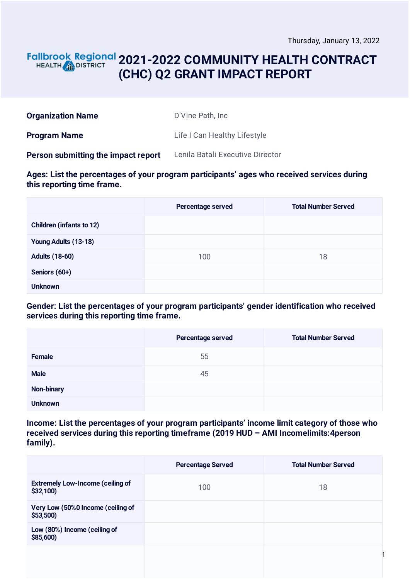### **2021-2022 COMMUNITY HEALTH CONTRACT** HEALTH **AND DISTRICT (CHC) Q2 GRANT IMPACT REPORT**

| <b>Organization Name</b>            | D'Vine Path, Inc.                |
|-------------------------------------|----------------------------------|
| <b>Program Name</b>                 | Life I Can Healthy Lifestyle     |
| Person submitting the impact report | Lenila Batali Executive Director |

**Ages: List the percentages of your program participants' ages who received services during this reporting time frame.**

|                                 | <b>Percentage served</b> | <b>Total Number Served</b> |
|---------------------------------|--------------------------|----------------------------|
| <b>Children (infants to 12)</b> |                          |                            |
| Young Adults (13-18)            |                          |                            |
| <b>Adults (18-60)</b>           | 100                      | 18                         |
| Seniors (60+)                   |                          |                            |
| <b>Unknown</b>                  |                          |                            |

**Gender: List the percentages of your program participants' gender identification who received services during this reporting time frame.**

|                   | Percentage served | <b>Total Number Served</b> |
|-------------------|-------------------|----------------------------|
| Female            | 55                |                            |
| <b>Male</b>       | 45                |                            |
| <b>Non-binary</b> |                   |                            |
| <b>Unknown</b>    |                   |                            |

**Income: List the percentages of your program participants' income limit category of those who received services during this reporting timeframe (2019 HUD – AMI Incomelimits:4person family).**

|                                                     | <b>Percentage Served</b> | <b>Total Number Served</b> |
|-----------------------------------------------------|--------------------------|----------------------------|
| <b>Extremely Low-Income (ceiling of</b><br>\$32,100 | 100                      | 18                         |
| Very Low (50%0 Income (ceiling of<br>\$53,500       |                          |                            |
| Low (80%) Income (ceiling of<br>\$85,600)           |                          |                            |
|                                                     |                          |                            |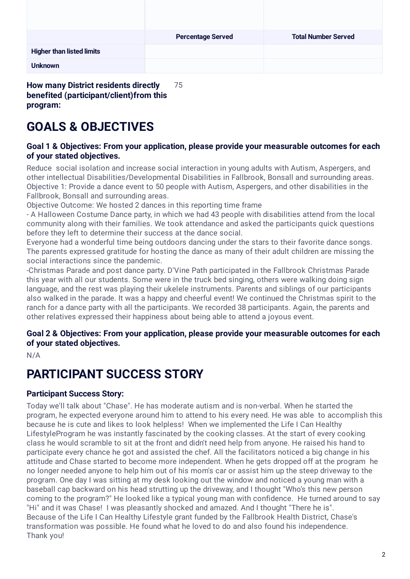|                                             | <b>Percentage Served</b> | <b>Total Number Served</b> |
|---------------------------------------------|--------------------------|----------------------------|
| <b>Higher than listed limits</b>            |                          |                            |
| <b>Unknown</b>                              |                          |                            |
| <b>How many District residents directly</b> | 75                       |                            |

**benefited (participant/client)from this program:**

# **GOALS & OBJECTIVES**

#### **Goal 1 & Objectives: From your application, please provide your measurable outcomes for each of your stated objectives.**

Reduce social isolation and increase social interaction in young adults with Autism, Aspergers, and other intellectual Disabilities/Developmental Disabilities in Fallbrook, Bonsall and surrounding areas. Objective 1: Provide a dance event to 50 people with Autism, Aspergers, and other disabilities in the Fallbrook, Bonsall and surrounding areas.

Objective Outcome: We hosted 2 dances in this reporting time frame

- A Halloween Costume Dance party, in which we had 43 people with disabilities attend from the local community along with their families. We took attendance and asked the participants quick questions before they left to determine their success at the dance social.

Everyone had a wonderful time being outdoors dancing under the stars to their favorite dance songs. The parents expressed gratitude for hosting the dance as many of their adult children are missing the social interactions since the pandemic.

-Christmas Parade and post dance party. D'Vine Path participated in the Fallbrook Christmas Parade this year with all our students. Some were in the truck bed singing, others were walking doing sign language, and the rest was playing their ukelele instruments. Parents and siblings of our participants also walked in the parade. It was a happy and cheerful event! We continued the Christmas spirit to the ranch for a dance party with all the participants. We recorded 38 participants. Again, the parents and other relatives expressed their happiness about being able to attend a joyous event.

### **Goal 2 & Objectives: From your application, please provide your measurable outcomes for each of your stated objectives.**

N/A

# **PARTICIPANT SUCCESS STORY**

### **Participant Success Story:**

Today we'll talk about "Chase". He has moderate autism and is non-verbal. When he started the program, he expected everyone around him to attend to his every need. He was able to accomplish this because he is cute and likes to look helpless! When we implemented the Life I Can Healthy LifestyleProgram he was instantly fascinated by the cooking classes. At the start of every cooking class he would scramble to sit at the front and didn't need help from anyone. He raised his hand to participate every chance he got and assisted the chef. All the facilitators noticed a big change in his attitude and Chase started to become more independent. When he gets dropped off at the program he no longer needed anyone to help him out of his mom's car or assist him up the steep driveway to the program. One day I was sitting at my desk looking out the window and noticed a young man with a baseball cap backward on his head strutting up the driveway, and I thought "Who's this new person coming to the program?" He looked like a typical young man with confidence. He turned around to say "Hi" and it was Chase! I was pleasantly shocked and amazed. And I thought "There he is". Because of the Life I Can Healthy Lifestyle grant funded by the Fallbrook Health District, Chase's transformation was possible. He found what he loved to do and also found his independence. Thank you!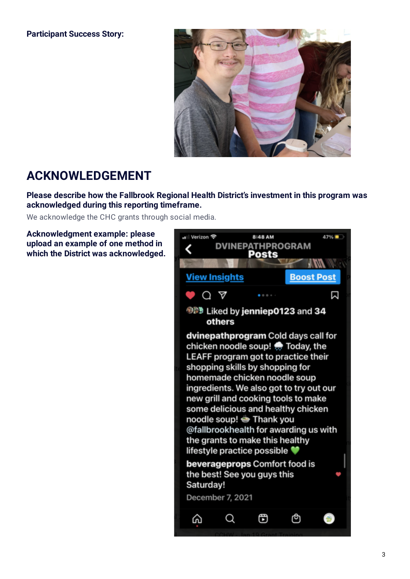#### **Participant Success Story:**



## **ACKNOWLEDGEMENT**

**Please describe how the Fallbrook Regional Health District's investment in this program was acknowledged during this reporting timeframe.**

We acknowledge the CHC grants through social media.

**Acknowledgment example: please upload an example of one method in which the District was acknowledged.**